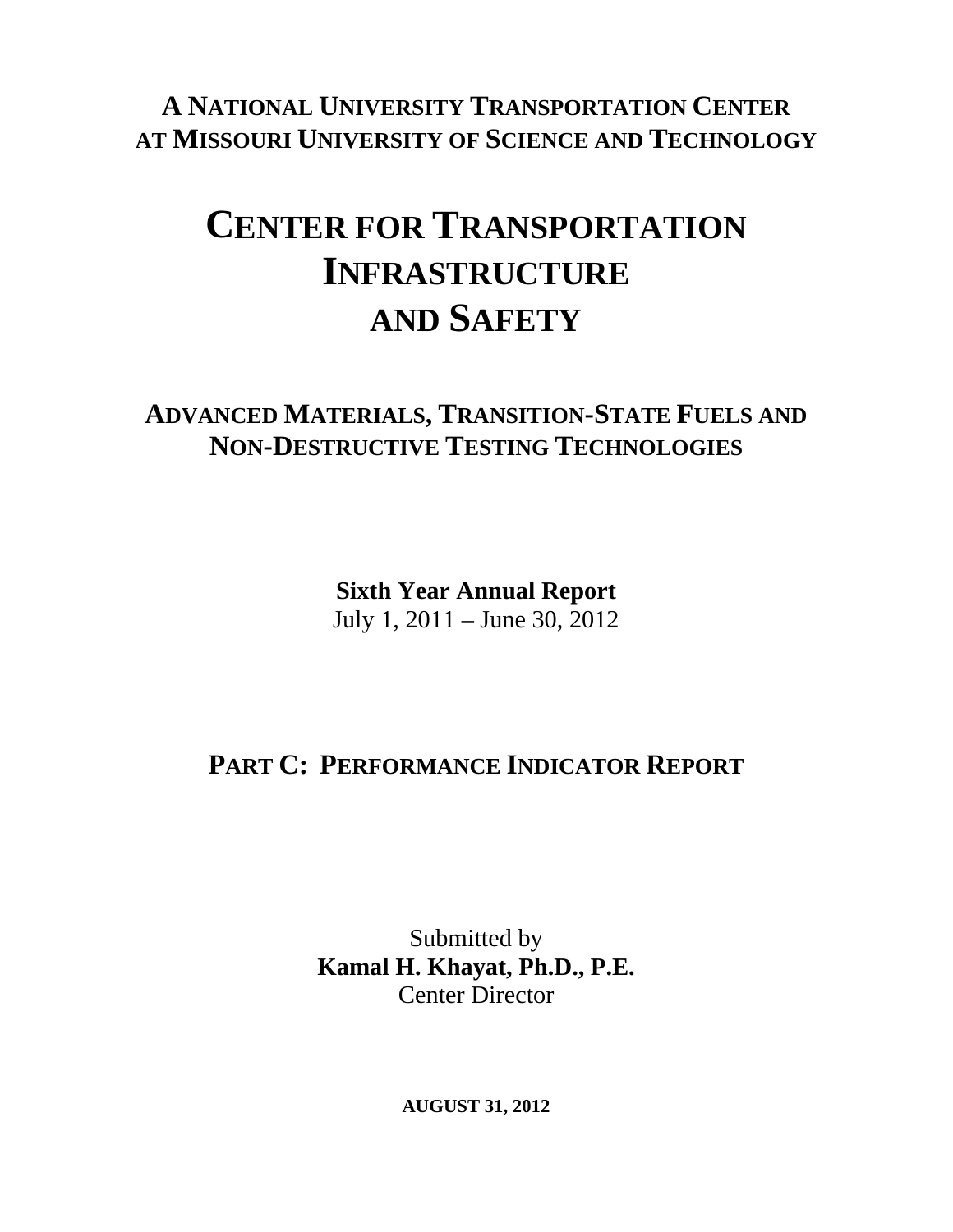**A NATIONAL UNIVERSITY TRANSPORTATION CENTER AT MISSOURI UNIVERSITY OF SCIENCE AND TECHNOLOGY**

# **CENTER FOR TRANSPORTATION INFRASTRUCTURE AND SAFETY**

### **ADVANCED MATERIALS, TRANSITION-STATE FUELS AND NON-DESTRUCTIVE TESTING TECHNOLOGIES**

**Sixth Year Annual Report**  July 1, 2011 – June 30, 2012

# **PART C: PERFORMANCE INDICATOR REPORT**

Submitted by **Kamal H. Khayat, Ph.D., P.E.**  Center Director

**AUGUST 31, 2012**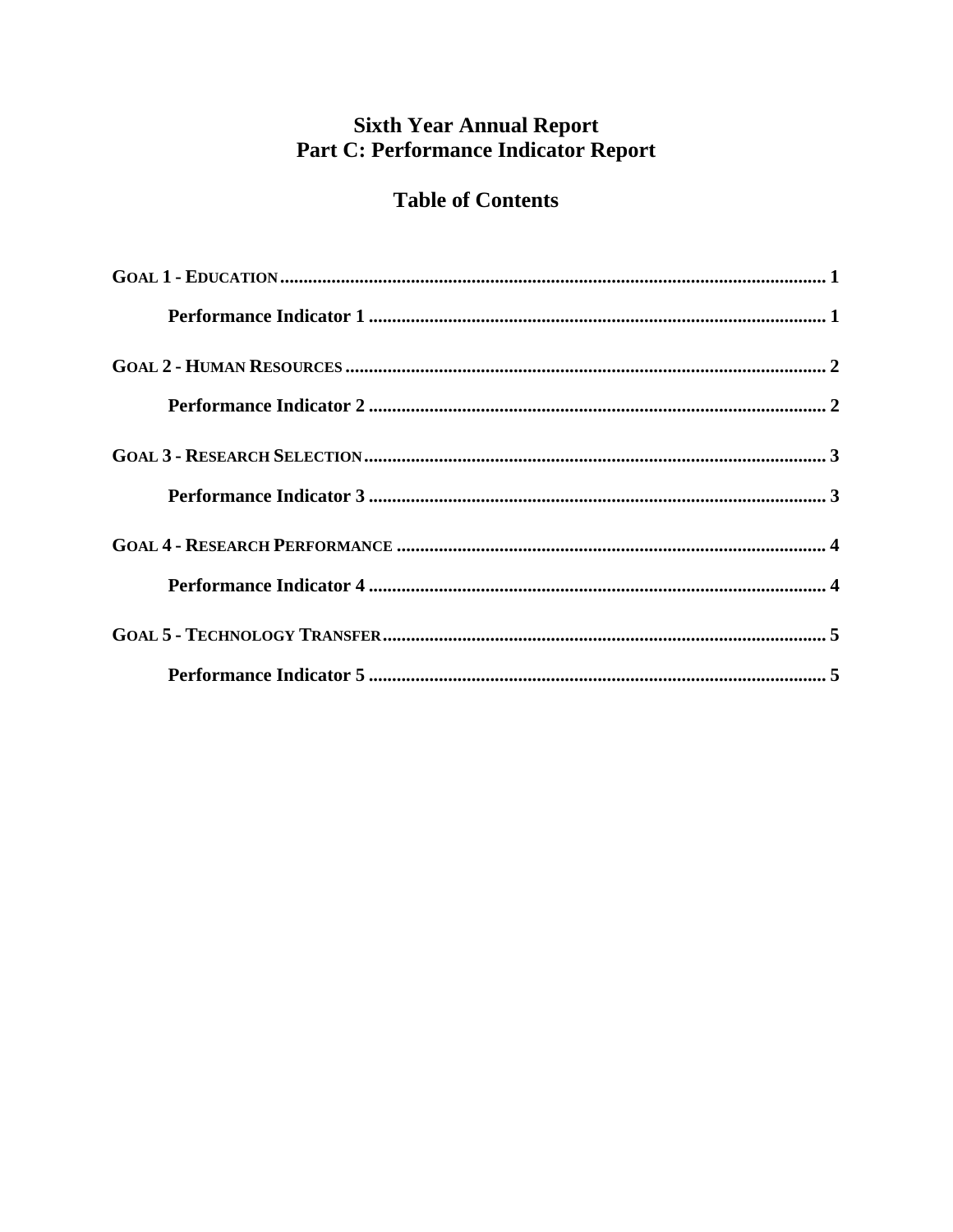### **Sixth Year Annual Report** Part C: Performance Indicator Report

### **Table of Contents**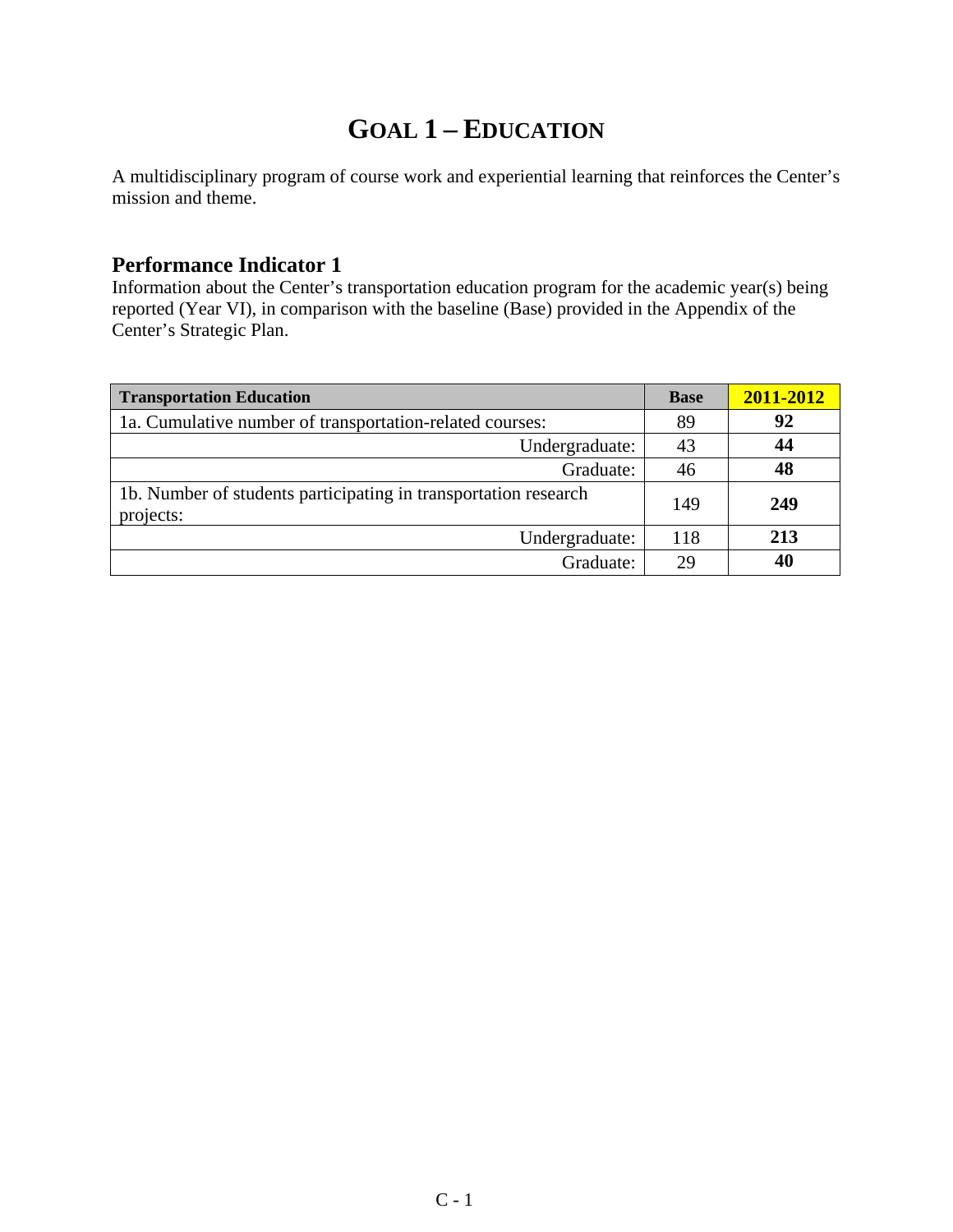# **GOAL 1 – EDUCATION**

A multidisciplinary program of course work and experiential learning that reinforces the Center's mission and theme.

#### **Performance Indicator 1**

Information about the Center's transportation education program for the academic year(s) being reported (Year VI), in comparison with the baseline (Base) provided in the Appendix of the Center's Strategic Plan.

| <b>Transportation Education</b>                                              | <b>Base</b> | 2011-2012 |
|------------------------------------------------------------------------------|-------------|-----------|
| 1a. Cumulative number of transportation-related courses:                     | 89          | 92        |
| Undergraduate:                                                               | 43          | 44        |
| Graduate:                                                                    | 46          | 48        |
| 1b. Number of students participating in transportation research<br>projects: | 149         | 249       |
| Undergraduate:                                                               | 118         | 213       |
| Graduate:                                                                    | 29          | 40        |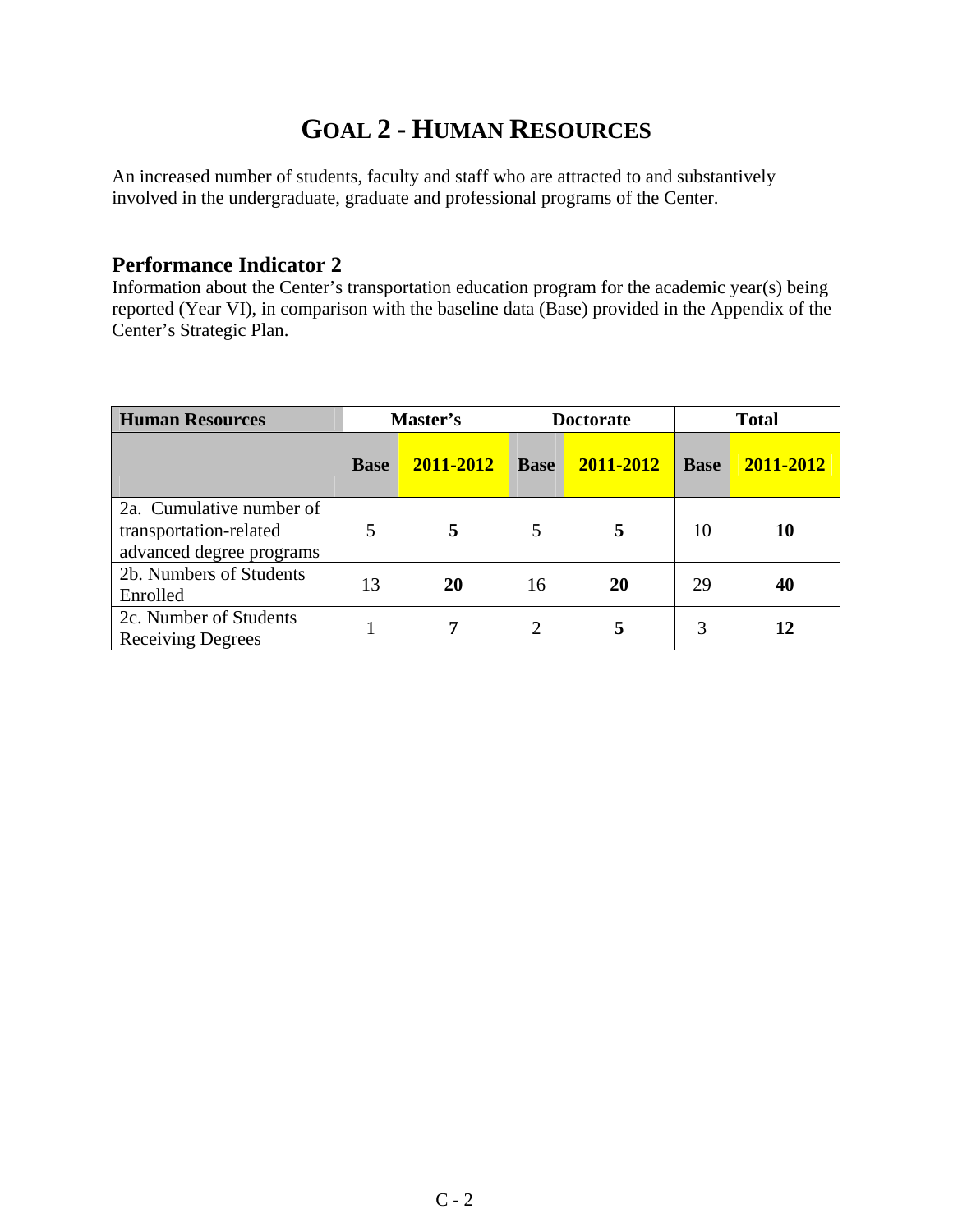# **GOAL 2 - HUMAN RESOURCES**

An increased number of students, faculty and staff who are attracted to and substantively involved in the undergraduate, graduate and professional programs of the Center.

#### **Performance Indicator 2**

Information about the Center's transportation education program for the academic year(s) being reported (Year VI), in comparison with the baseline data (Base) provided in the Appendix of the Center's Strategic Plan.

| <b>Human Resources</b>                                                         | Master's    |           | <b>Doctorate</b> |           | <b>Total</b> |           |
|--------------------------------------------------------------------------------|-------------|-----------|------------------|-----------|--------------|-----------|
|                                                                                | <b>Base</b> | 2011-2012 | <b>Base</b>      | 2011-2012 | <b>Base</b>  | 2011-2012 |
| 2a. Cumulative number of<br>transportation-related<br>advanced degree programs | 5           |           | 5                | 5         | 10           | 10        |
| 2b. Numbers of Students<br>Enrolled                                            | 13          | 20        | 16               | 20        | 29           | 40        |
| 2c. Number of Students<br><b>Receiving Degrees</b>                             |             |           | $\overline{2}$   | 5         | 3            | 12        |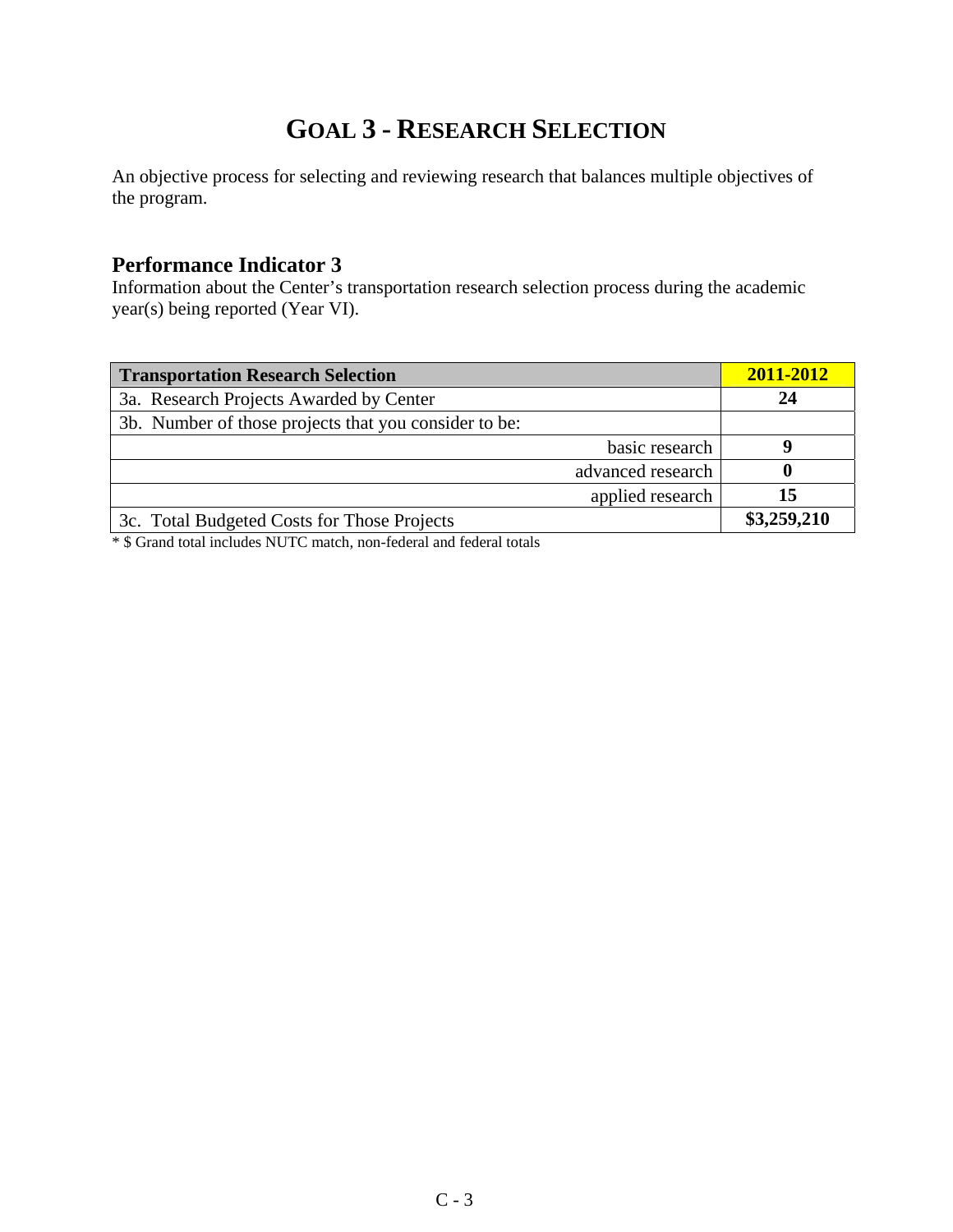# **GOAL 3 - RESEARCH SELECTION**

An objective process for selecting and reviewing research that balances multiple objectives of the program.

#### **Performance Indicator 3**

Information about the Center's transportation research selection process during the academic year(s) being reported (Year VI).

| <b>Transportation Research Selection</b>              | 2011-2012   |
|-------------------------------------------------------|-------------|
| 3a. Research Projects Awarded by Center               | 24          |
| 3b. Number of those projects that you consider to be: |             |
| basic research                                        |             |
| advanced research                                     |             |
| applied research                                      | 15          |
| 3c. Total Budgeted Costs for Those Projects           | \$3,259,210 |

\* \$ Grand total includes NUTC match, non-federal and federal totals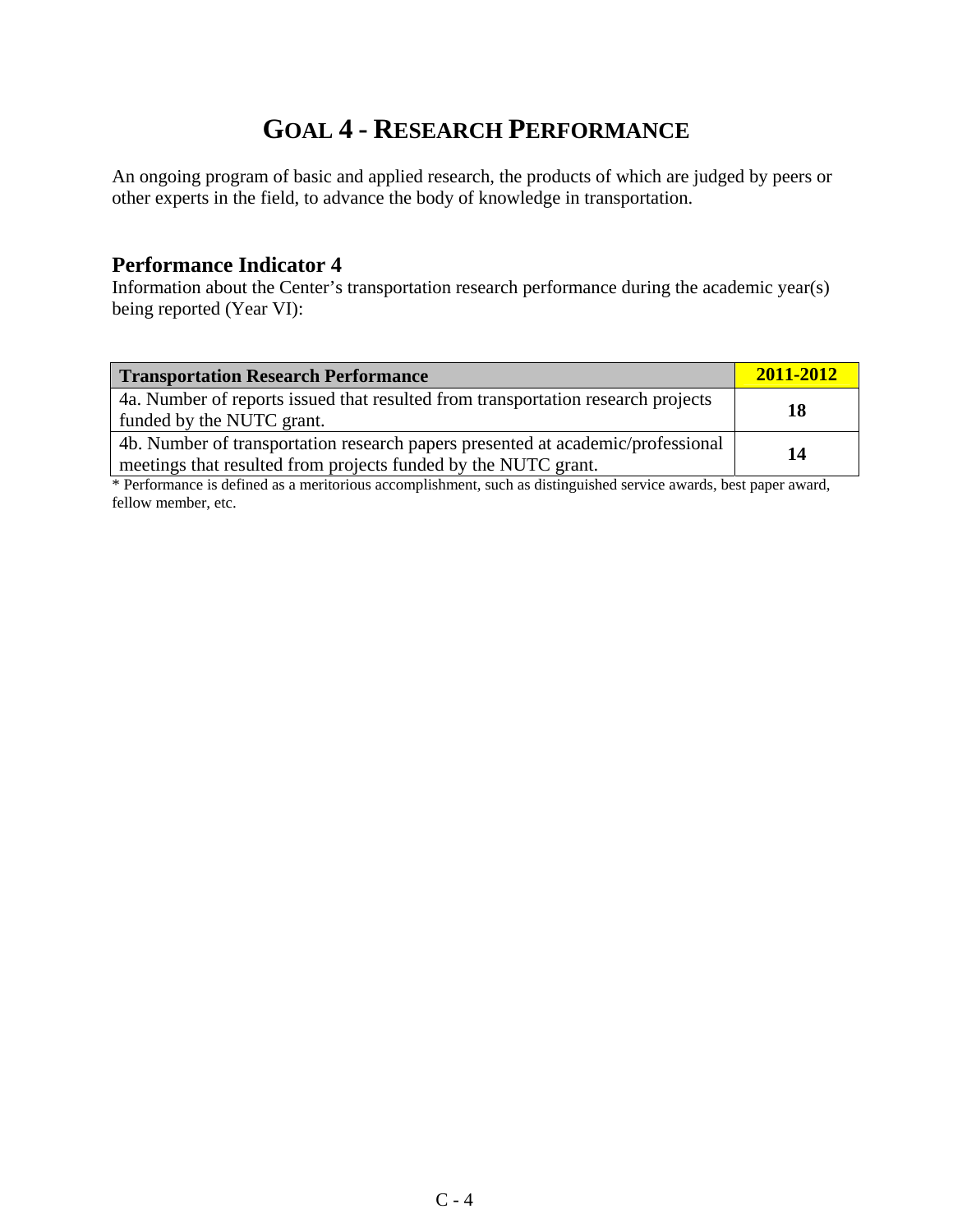# **GOAL 4 - RESEARCH PERFORMANCE**

An ongoing program of basic and applied research, the products of which are judged by peers or other experts in the field, to advance the body of knowledge in transportation.

#### **Performance Indicator 4**

Information about the Center's transportation research performance during the academic year(s) being reported (Year VI):

| <b>Transportation Research Performance</b>                                                                                                        | $2011 - 2012$ |
|---------------------------------------------------------------------------------------------------------------------------------------------------|---------------|
| 4a. Number of reports issued that resulted from transportation research projects<br>funded by the NUTC grant.                                     | 18            |
| 4b. Number of transportation research papers presented at academic/professional<br>meetings that resulted from projects funded by the NUTC grant. | 14            |

\* Performance is defined as a meritorious accomplishment, such as distinguished service awards, best paper award, fellow member, etc.